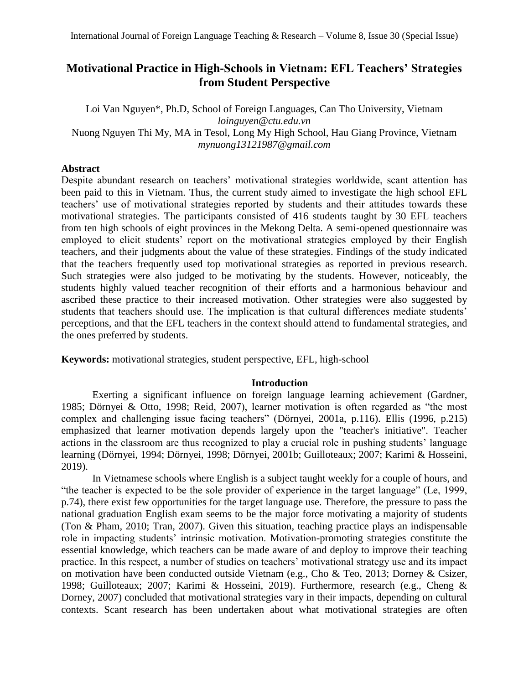# **Motivational Practice in High-Schools in Vietnam: EFL Teachers' Strategies from Student Perspective**

Loi Van Nguyen\*, Ph.D, School of Foreign Languages, Can Tho University, Vietnam *loinguyen@ctu.edu.vn* Nuong Nguyen Thi My, MA in Tesol, Long My High School, Hau Giang Province, Vietnam *mynuong13121987@gmail.com*

# **Abstract**

Despite abundant research on teachers' motivational strategies worldwide, scant attention has been paid to this in Vietnam. Thus, the current study aimed to investigate the high school EFL teachers' use of motivational strategies reported by students and their attitudes towards these motivational strategies. The participants consisted of 416 students taught by 30 EFL teachers from ten high schools of eight provinces in the Mekong Delta. A semi-opened questionnaire was employed to elicit students' report on the motivational strategies employed by their English teachers, and their judgments about the value of these strategies. Findings of the study indicated that the teachers frequently used top motivational strategies as reported in previous research. Such strategies were also judged to be motivating by the students. However, noticeably, the students highly valued teacher recognition of their efforts and a harmonious behaviour and ascribed these practice to their increased motivation. Other strategies were also suggested by students that teachers should use. The implication is that cultural differences mediate students' perceptions, and that the EFL teachers in the context should attend to fundamental strategies, and the ones preferred by students.

**Keywords:** motivational strategies, student perspective, EFL, high-school

# **Introduction**

Exerting a significant influence on foreign language learning achievement (Gardner, 1985; Dörnyei & Otto, 1998; Reid, 2007), learner motivation is often regarded as "the most complex and challenging issue facing teachers" (Dörnyei, 2001a, p.116). Ellis (1996, p.215) emphasized that learner motivation depends largely upon the "teacher's initiative". Teacher actions in the classroom are thus recognized to play a crucial role in pushing students' language learning (Dörnyei, 1994; Dörnyei, 1998; Dörnyei, 2001b; Guilloteaux; 2007; Karimi & Hosseini, 2019).

In Vietnamese schools where English is a subject taught weekly for a couple of hours, and "the teacher is expected to be the sole provider of experience in the target language" (Le, 1999, p.74), there exist few opportunities for the target language use. Therefore, the pressure to pass the national graduation English exam seems to be the major force motivating a majority of students (Ton & Pham, 2010; Tran, 2007). Given this situation, teaching practice plays an indispensable role in impacting students' intrinsic motivation. Motivation-promoting strategies constitute the essential knowledge, which teachers can be made aware of and deploy to improve their teaching practice. In this respect, a number of studies on teachers' motivational strategy use and its impact on motivation have been conducted outside Vietnam (e.g., Cho & Teo, 2013; Dorney & Csizer, 1998; Guilloteaux; 2007; Karimi & Hosseini, 2019). Furthermore, research (e.g., Cheng & Dorney, 2007) concluded that motivational strategies vary in their impacts, depending on cultural contexts. Scant research has been undertaken about what motivational strategies are often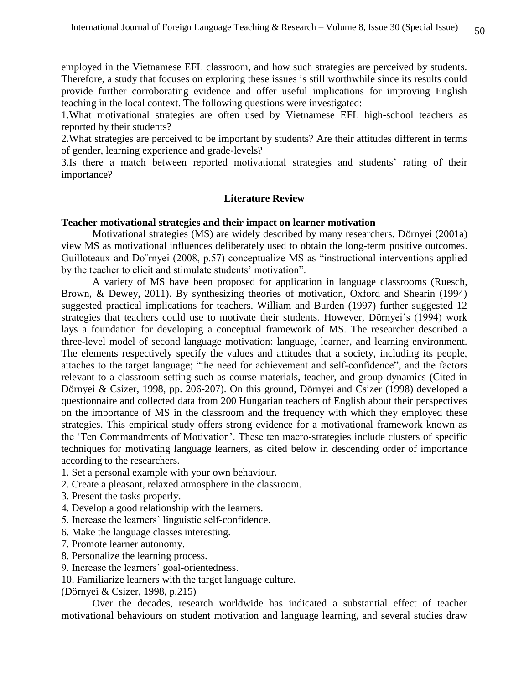employed in the Vietnamese EFL classroom, and how such strategies are perceived by students. Therefore, a study that focuses on exploring these issues is still worthwhile since its results could provide further corroborating evidence and offer useful implications for improving English teaching in the local context. The following questions were investigated:

1.What motivational strategies are often used by Vietnamese EFL high-school teachers as reported by their students?

2.What strategies are perceived to be important by students? Are their attitudes different in terms of gender, learning experience and grade-levels?

3.Is there a match between reported motivational strategies and students' rating of their importance?

# **Literature Review**

# **Teacher motivational strategies and their impact on learner motivation**

Motivational strategies (MS) are widely described by many researchers. Dörnyei (2001a) view MS as motivational influences deliberately used to obtain the long-term positive outcomes. Guilloteaux and Do¨rnyei (2008, p.57) conceptualize MS as "instructional interventions applied by the teacher to elicit and stimulate students' motivation".

A variety of MS have been proposed for application in language classrooms (Ruesch, Brown, & Dewey, 2011). By synthesizing theories of motivation, Oxford and Shearin (1994) suggested practical implications for teachers. William and Burden (1997) further suggested 12 strategies that teachers could use to motivate their students. However, Dörnyei's (1994) work lays a foundation for developing a conceptual framework of MS. The researcher described a three-level model of second language motivation: language, learner, and learning environment. The elements respectively specify the values and attitudes that a society, including its people, attaches to the target language; "the need for achievement and self-confidence", and the factors relevant to a classroom setting such as course materials, teacher, and group dynamics (Cited in Dörnyei & Csizer, 1998, pp. 206-207). On this ground, Dörnyei and Csizer (1998) developed a questionnaire and collected data from 200 Hungarian teachers of English about their perspectives on the importance of MS in the classroom and the frequency with which they employed these strategies. This empirical study offers strong evidence for a motivational framework known as the 'Ten Commandments of Motivation'. These ten macro-strategies include clusters of specific techniques for motivating language learners, as cited below in descending order of importance according to the researchers.

- 1. Set a personal example with your own behaviour.
- 2. Create a pleasant, relaxed atmosphere in the classroom.
- 3. Present the tasks properly.
- 4. Develop a good relationship with the learners.
- 5. Increase the learners' linguistic self-confidence.
- 6. Make the language classes interesting.
- 7. Promote learner autonomy.
- 8. Personalize the learning process.
- 9. Increase the learners' goal-orientedness.
- 10. Familiarize learners with the target language culture.
- (Dörnyei & Csizer, 1998, p.215)

Over the decades, research worldwide has indicated a substantial effect of teacher motivational behaviours on student motivation and language learning, and several studies draw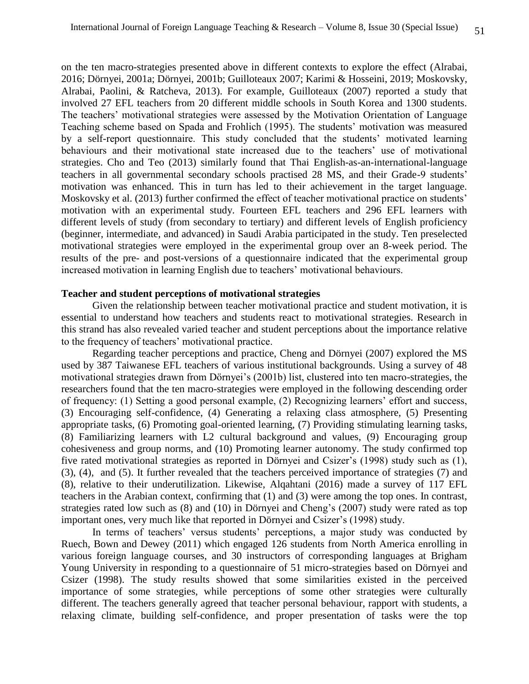on the ten macro-strategies presented above in different contexts to explore the effect (Alrabai, 2016; Dörnyei, 2001a; Dörnyei, 2001b; Guilloteaux 2007; Karimi & Hosseini, 2019; Moskovsky, Alrabai, Paolini, & Ratcheva, 2013). For example, Guilloteaux (2007) reported a study that involved 27 EFL teachers from 20 different middle schools in South Korea and 1300 students. The teachers' motivational strategies were assessed by the Motivation Orientation of Language Teaching scheme based on Spada and Frohlich (1995). The students' motivation was measured by a self-report questionnaire. This study concluded that the students' motivated learning behaviours and their motivational state increased due to the teachers' use of motivational strategies. Cho and Teo (2013) similarly found that Thai English-as-an-international-language teachers in all governmental secondary schools practised 28 MS, and their Grade-9 students' motivation was enhanced. This in turn has led to their achievement in the target language. Moskovsky et al. (2013) further confirmed the effect of teacher motivational practice on students' motivation with an experimental study. Fourteen EFL teachers and 296 EFL learners with different levels of study (from secondary to tertiary) and different levels of English proficiency (beginner, intermediate, and advanced) in Saudi Arabia participated in the study. Ten preselected motivational strategies were employed in the experimental group over an 8-week period. The results of the pre- and post-versions of a questionnaire indicated that the experimental group increased motivation in learning English due to teachers' motivational behaviours.

#### **Teacher and student perceptions of motivational strategies**

Given the relationship between teacher motivational practice and student motivation, it is essential to understand how teachers and students react to motivational strategies. Research in this strand has also revealed varied teacher and student perceptions about the importance relative to the frequency of teachers' motivational practice.

Regarding teacher perceptions and practice, Cheng and Dörnyei (2007) explored the MS used by 387 Taiwanese EFL teachers of various institutional backgrounds. Using a survey of 48 motivational strategies drawn from Dörnyei's (2001b) list, clustered into ten macro-strategies, the researchers found that the ten macro-strategies were employed in the following descending order of frequency: (1) Setting a good personal example, (2) Recognizing learners' effort and success, (3) Encouraging self-confidence, (4) Generating a relaxing class atmosphere, (5) Presenting appropriate tasks, (6) Promoting goal-oriented learning, (7) Providing stimulating learning tasks, (8) Familiarizing learners with L2 cultural background and values, (9) Encouraging group cohesiveness and group norms, and (10) Promoting learner autonomy. The study confirmed top five rated motivational strategies as reported in Dörnyei and Csizer's (1998) study such as (1), (3), (4), and (5). It further revealed that the teachers perceived importance of strategies (7) and (8), relative to their underutilization. Likewise, Alqahtani (2016) made a survey of 117 EFL teachers in the Arabian context, confirming that (1) and (3) were among the top ones. In contrast, strategies rated low such as (8) and (10) in Dörnyei and Cheng's (2007) study were rated as top important ones, very much like that reported in Dörnyei and Csizer's (1998) study.

In terms of teachers' versus students' perceptions, a major study was conducted by Ruech, Bown and Dewey (2011) which engaged 126 students from North America enrolling in various foreign language courses, and 30 instructors of corresponding languages at Brigham Young University in responding to a questionnaire of 51 micro-strategies based on Dörnyei and Csizer (1998). The study results showed that some similarities existed in the perceived importance of some strategies, while perceptions of some other strategies were culturally different. The teachers generally agreed that teacher personal behaviour, rapport with students, a relaxing climate, building self-confidence, and proper presentation of tasks were the top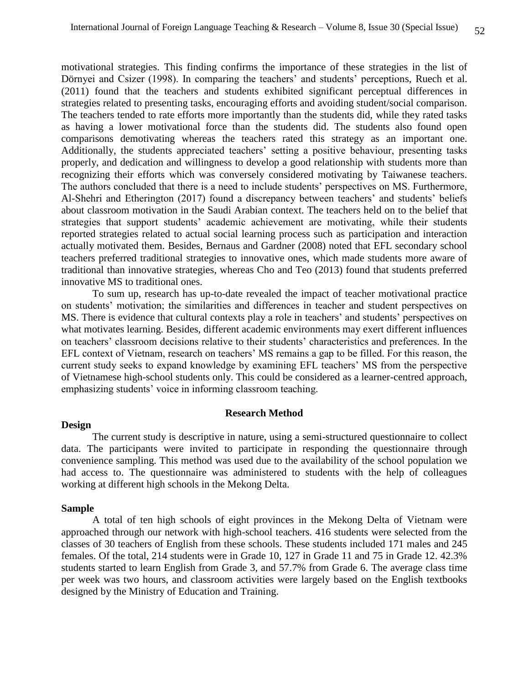motivational strategies. This finding confirms the importance of these strategies in the list of Dörnyei and Csizer (1998). In comparing the teachers' and students' perceptions, Ruech et al. (2011) found that the teachers and students exhibited significant perceptual differences in strategies related to presenting tasks, encouraging efforts and avoiding student/social comparison. The teachers tended to rate efforts more importantly than the students did, while they rated tasks as having a lower motivational force than the students did. The students also found open comparisons demotivating whereas the teachers rated this strategy as an important one. Additionally, the students appreciated teachers' setting a positive behaviour, presenting tasks properly, and dedication and willingness to develop a good relationship with students more than recognizing their efforts which was conversely considered motivating by Taiwanese teachers. The authors concluded that there is a need to include students' perspectives on MS. Furthermore, Al-Shehri and Etherington (2017) found a discrepancy between teachers' and students' beliefs about classroom motivation in the Saudi Arabian context. The teachers held on to the belief that strategies that support students' academic achievement are motivating, while their students reported strategies related to actual social learning process such as participation and interaction actually motivated them. Besides, Bernaus and Gardner (2008) noted that EFL secondary school teachers preferred traditional strategies to innovative ones, which made students more aware of traditional than innovative strategies, whereas Cho and Teo (2013) found that students preferred innovative MS to traditional ones.

To sum up, research has up-to-date revealed the impact of teacher motivational practice on students' motivation; the similarities and differences in teacher and student perspectives on MS. There is evidence that cultural contexts play a role in teachers' and students' perspectives on what motivates learning. Besides, different academic environments may exert different influences on teachers' classroom decisions relative to their students' characteristics and preferences. In the EFL context of Vietnam, research on teachers' MS remains a gap to be filled. For this reason, the current study seeks to expand knowledge by examining EFL teachers' MS from the perspective of Vietnamese high-school students only. This could be considered as a learner-centred approach, emphasizing students' voice in informing classroom teaching.

# **Research Method**

#### **Design**

The current study is descriptive in nature, using a semi-structured questionnaire to collect data. The participants were invited to participate in responding the questionnaire through convenience sampling. This method was used due to the availability of the school population we had access to. The questionnaire was administered to students with the help of colleagues working at different high schools in the Mekong Delta.

# **Sample**

A total of ten high schools of eight provinces in the Mekong Delta of Vietnam were approached through our network with high-school teachers. 416 students were selected from the classes of 30 teachers of English from these schools. These students included 171 males and 245 females. Of the total, 214 students were in Grade 10, 127 in Grade 11 and 75 in Grade 12. 42.3% students started to learn English from Grade 3, and 57.7% from Grade 6. The average class time per week was two hours, and classroom activities were largely based on the English textbooks designed by the Ministry of Education and Training.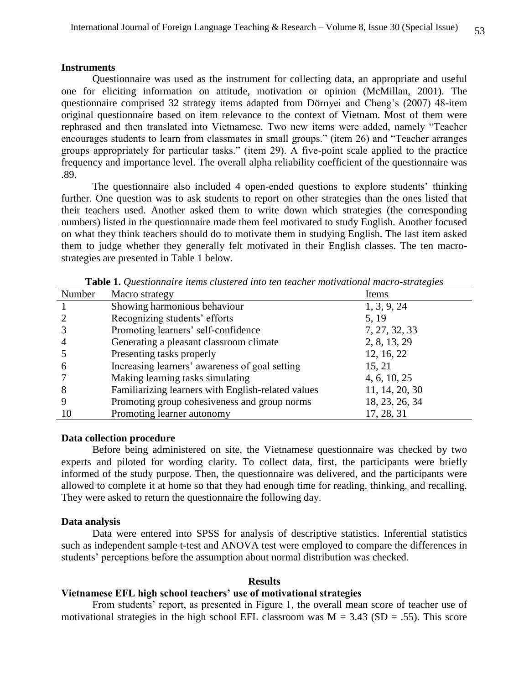#### **Instruments**

Questionnaire was used as the instrument for collecting data, an appropriate and useful one for eliciting information on attitude, motivation or opinion (McMillan, 2001). The questionnaire comprised 32 strategy items adapted from Dörnyei and Cheng's (2007) 48-item original questionnaire based on item relevance to the context of Vietnam. Most of them were rephrased and then translated into Vietnamese. Two new items were added, namely "Teacher encourages students to learn from classmates in small groups." (item 26) and "Teacher arranges groups appropriately for particular tasks." (item 29). A five-point scale applied to the practice frequency and importance level. The overall alpha reliability coefficient of the questionnaire was .89.

The questionnaire also included 4 open-ended questions to explore students' thinking further. One question was to ask students to report on other strategies than the ones listed that their teachers used. Another asked them to write down which strategies (the corresponding numbers) listed in the questionnaire made them feel motivated to study English. Another focused on what they think teachers should do to motivate them in studying English. The last item asked them to judge whether they generally felt motivated in their English classes. The ten macrostrategies are presented in Table 1 below.

| Number        | Macro strategy                                     | Items          |
|---------------|----------------------------------------------------|----------------|
|               | Showing harmonious behaviour                       | 1, 3, 9, 24    |
|               | Recognizing students' efforts                      | 5, 19          |
|               | Promoting learners' self-confidence                | 7, 27, 32, 33  |
|               | Generating a pleasant classroom climate            | 2, 8, 13, 29   |
|               | Presenting tasks properly                          | 12, 16, 22     |
| $\mathfrak b$ | Increasing learners' awareness of goal setting     | 15, 21         |
|               | Making learning tasks simulating                   | 4, 6, 10, 25   |
| 8             | Familiarizing learners with English-related values | 11, 14, 20, 30 |
|               | Promoting group cohesiveness and group norms       | 18, 23, 26, 34 |
| 10            | Promoting learner autonomy                         | 17, 28, 31     |

**Table 1.** *Questionnaire items clustered into ten teacher motivational macro-strategies*

#### **Data collection procedure**

Before being administered on site, the Vietnamese questionnaire was checked by two experts and piloted for wording clarity. To collect data, first, the participants were briefly informed of the study purpose. Then, the questionnaire was delivered, and the participants were allowed to complete it at home so that they had enough time for reading, thinking, and recalling. They were asked to return the questionnaire the following day.

#### **Data analysis**

Data were entered into SPSS for analysis of descriptive statistics. Inferential statistics such as independent sample t-test and ANOVA test were employed to compare the differences in students' perceptions before the assumption about normal distribution was checked.

#### **Results**

# **Vietnamese EFL high school teachers' use of motivational strategies**

From students' report, as presented in Figure 1*,* the overall mean score of teacher use of motivational strategies in the high school EFL classroom was  $M = 3.43$  (SD = .55). This score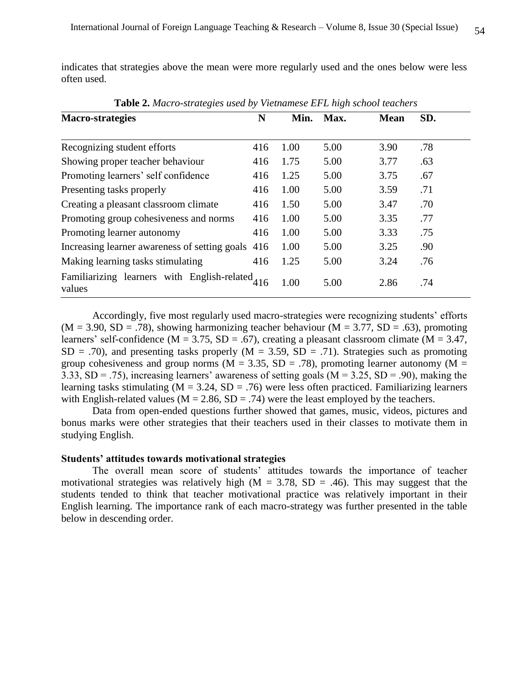indicates that strategies above the mean were more regularly used and the ones below were less often used.

| $\ldots$                                                  |     |      |      |             |     |  |
|-----------------------------------------------------------|-----|------|------|-------------|-----|--|
| <b>Macro-strategies</b>                                   | N   | Min. | Max. | <b>Mean</b> | SD. |  |
|                                                           |     |      |      |             |     |  |
| Recognizing student efforts                               | 416 | 1.00 | 5.00 | 3.90        | .78 |  |
| Showing proper teacher behaviour                          | 416 | 1.75 | 5.00 | 3.77        | .63 |  |
| Promoting learners' self confidence                       | 416 | 1.25 | 5.00 | 3.75        | .67 |  |
| Presenting tasks properly                                 | 416 | 1.00 | 5.00 | 3.59        | .71 |  |
| Creating a pleasant classroom climate                     | 416 | 1.50 | 5.00 | 3.47        | .70 |  |
| Promoting group cohesiveness and norms                    | 416 | 1.00 | 5.00 | 3.35        | .77 |  |
| Promoting learner autonomy                                | 416 | 1.00 | 5.00 | 3.33        | .75 |  |
| Increasing learner awareness of setting goals             | 416 | 1.00 | 5.00 | 3.25        | .90 |  |
| Making learning tasks stimulating                         | 416 | 1.25 | 5.00 | 3.24        | .76 |  |
| Familiarizing learners with English-related 416<br>values |     | 1.00 | 5.00 | 2.86        | .74 |  |

**Table 2.** *Macro-strategies used by Vietnamese EFL high school teachers*

Accordingly, five most regularly used macro-strategies were recognizing students' efforts  $(M = 3.90, SD = .78)$ , showing harmonizing teacher behaviour  $(M = 3.77, SD = .63)$ , promoting learners' self-confidence ( $M = 3.75$ ,  $SD = .67$ ), creating a pleasant classroom climate ( $M = 3.47$ ,  $SD = .70$ ), and presenting tasks properly (M = 3.59, SD = .71). Strategies such as promoting group cohesiveness and group norms ( $M = 3.35$ ,  $SD = .78$ ), promoting learner autonomy ( $M =$ 3.33,  $SD = .75$ ), increasing learners' awareness of setting goals ( $M = 3.25$ ,  $SD = .90$ ), making the learning tasks stimulating  $(M = 3.24, SD = .76)$  were less often practiced. Familiarizing learners with English-related values ( $M = 2.86$ ,  $SD = .74$ ) were the least employed by the teachers.

Data from open-ended questions further showed that games, music, videos, pictures and bonus marks were other strategies that their teachers used in their classes to motivate them in studying English.

### **Students' attitudes towards motivational strategies**

The overall mean score of students' attitudes towards the importance of teacher motivational strategies was relatively high ( $M = 3.78$ , SD = .46). This may suggest that the students tended to think that teacher motivational practice was relatively important in their English learning. The importance rank of each macro-strategy was further presented in the table below in descending order.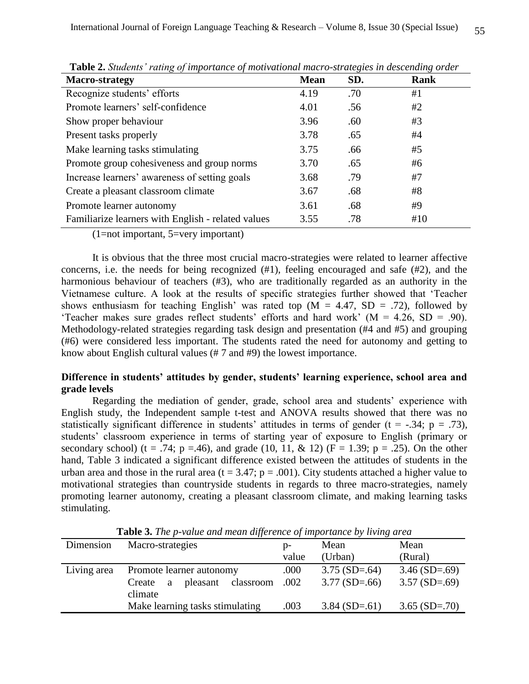| <b>Macro-strategy</b>                              | <b>Mean</b> | SD. | Rank |
|----------------------------------------------------|-------------|-----|------|
| Recognize students' efforts                        | 4.19        | .70 | #1   |
| Promote learners' self-confidence                  | 4.01        | .56 | #2   |
| Show proper behaviour                              | 3.96        | .60 | #3   |
| Present tasks properly                             | 3.78        | .65 | #4   |
| Make learning tasks stimulating                    | 3.75        | .66 | #5   |
| Promote group cohesiveness and group norms         | 3.70        | .65 | #6   |
| Increase learners' awareness of setting goals      | 3.68        | .79 | #7   |
| Create a pleasant classroom climate                | 3.67        | .68 | #8   |
| Promote learner autonomy                           | 3.61        | .68 | #9   |
| Familiarize learners with English - related values | 3.55        | .78 | #10  |

**Table 2.** *Students' rating of importance of motivational macro-strategies in descending order*

(1=not important, 5=very important)

It is obvious that the three most crucial macro-strategies were related to learner affective concerns, i.e. the needs for being recognized (#1), feeling encouraged and safe (#2), and the harmonious behaviour of teachers (#3), who are traditionally regarded as an authority in the Vietnamese culture. A look at the results of specific strategies further showed that 'Teacher shows enthusiasm for teaching English' was rated top  $(M = 4.47, SD = .72)$ , followed by 'Teacher makes sure grades reflect students' efforts and hard work' (M = 4.26, SD = .90). Methodology-related strategies regarding task design and presentation (#4 and #5) and grouping (#6) were considered less important. The students rated the need for autonomy and getting to know about English cultural values (# 7 and #9) the lowest importance.

# **Difference in students' attitudes by gender, students' learning experience, school area and grade levels**

Regarding the mediation of gender, grade, school area and students' experience with English study, the Independent sample t-test and ANOVA results showed that there was no statistically significant difference in students' attitudes in terms of gender ( $t = -.34$ ;  $p = .73$ ), students' classroom experience in terms of starting year of exposure to English (primary or secondary school) (t = .74; p = .46), and grade (10, 11, & 12) ( $F = 1.39$ ; p = .25). On the other hand, Table 3 indicated a significant difference existed between the attitudes of students in the urban area and those in the rural area ( $t = 3.47$ ;  $p = .001$ ). City students attached a higher value to motivational strategies than countryside students in regards to three macro-strategies, namely promoting learner autonomy, creating a pleasant classroom climate, and making learning tasks stimulating.

**Table 3.** *The p-value and mean difference of importance by living area*

| Dimension   | Macro-strategies                                     | D-    | Mean            | Mean            |
|-------------|------------------------------------------------------|-------|-----------------|-----------------|
|             |                                                      | value | (Urban)         | (Rural)         |
| Living area | Promote learner autonomy                             | .000  | $3.75(SD=.64)$  | $3.46$ (SD=.69) |
|             | classroom .002<br>pleasant<br>Create<br>a<br>climate |       | $3.77(SD=.66)$  | $3.57(SD=.69)$  |
|             | Make learning tasks stimulating                      | .003  | $3.84$ (SD=.61) | $3.65$ (SD=.70) |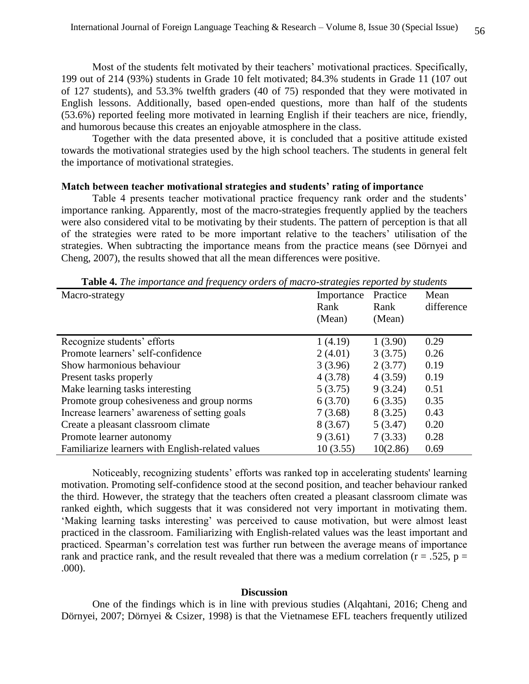Most of the students felt motivated by their teachers' motivational practices. Specifically, 199 out of 214 (93%) students in Grade 10 felt motivated; 84.3% students in Grade 11 (107 out of 127 students), and 53.3% twelfth graders (40 of 75) responded that they were motivated in English lessons. Additionally, based open-ended questions, more than half of the students (53.6%) reported feeling more motivated in learning English if their teachers are nice, friendly, and humorous because this creates an enjoyable atmosphere in the class.

Together with the data presented above, it is concluded that a positive attitude existed towards the motivational strategies used by the high school teachers. The students in general felt the importance of motivational strategies.

#### **Match between teacher motivational strategies and students' rating of importance**

Table 4 presents teacher motivational practice frequency rank order and the students' importance ranking. Apparently, most of the macro-strategies frequently applied by the teachers were also considered vital to be motivating by their students. The pattern of perception is that all of the strategies were rated to be more important relative to the teachers' utilisation of the strategies. When subtracting the importance means from the practice means (see Dörnyei and Cheng, 2007), the results showed that all the mean differences were positive.

| <b>rapic +.</b> The importance and prequency orders of macro-strategies reported by statents |            |          |            |  |
|----------------------------------------------------------------------------------------------|------------|----------|------------|--|
| Macro-strategy                                                                               | Importance | Practice | Mean       |  |
|                                                                                              | Rank       | Rank     | difference |  |
|                                                                                              | (Mean)     | (Mean)   |            |  |
|                                                                                              |            |          |            |  |
| Recognize students' efforts                                                                  | 1(4.19)    | 1(3.90)  | 0.29       |  |
| Promote learners' self-confidence                                                            | 2(4.01)    | 3(3.75)  | 0.26       |  |
| Show harmonious behaviour                                                                    | 3(3.96)    | 2(3.77)  | 0.19       |  |
| Present tasks properly                                                                       | 4(3.78)    | 4(3.59)  | 0.19       |  |
| Make learning tasks interesting                                                              | 5(3.75)    | 9(3.24)  | 0.51       |  |
| Promote group cohesiveness and group norms                                                   | 6(3.70)    | 6(3.35)  | 0.35       |  |
| Increase learners' awareness of setting goals                                                | 7(3.68)    | 8 (3.25) | 0.43       |  |
| Create a pleasant classroom climate                                                          | 8(3.67)    | 5(3.47)  | 0.20       |  |
| Promote learner autonomy                                                                     | 9(3.61)    | 7(3.33)  | 0.28       |  |
| Familiarize learners with English-related values                                             | 10(3.55)   | 10(2.86) | 0.69       |  |

**Table 4.** *The importance and frequency orders of macro-strategies reported by students*

Noticeably, recognizing students' efforts was ranked top in accelerating students' learning motivation. Promoting self-confidence stood at the second position, and teacher behaviour ranked the third. However, the strategy that the teachers often created a pleasant classroom climate was ranked eighth, which suggests that it was considered not very important in motivating them. 'Making learning tasks interesting' was perceived to cause motivation, but were almost least practiced in the classroom. Familiarizing with English-related values was the least important and practiced. Spearman's correlation test was further run between the average means of importance rank and practice rank, and the result revealed that there was a medium correlation ( $r = .525$ ,  $p =$ .000).

#### **Discussion**

One of the findings which is in line with previous studies (Alqahtani, 2016; Cheng and Dörnyei, 2007; Dörnyei & Csizer, 1998) is that the Vietnamese EFL teachers frequently utilized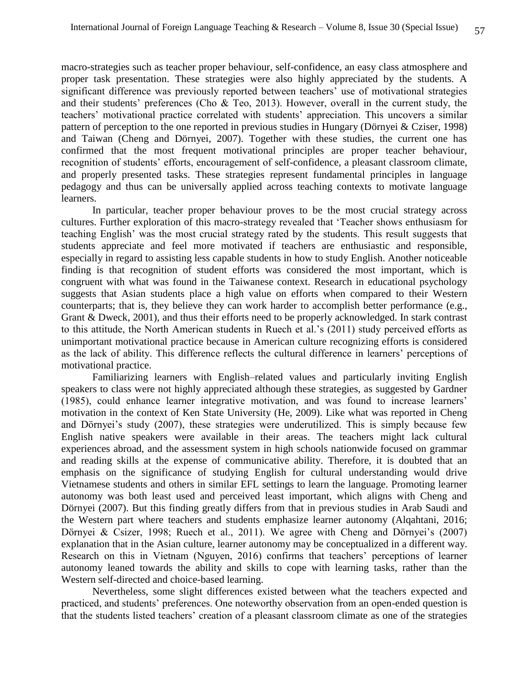macro-strategies such as teacher proper behaviour, self-confidence, an easy class atmosphere and proper task presentation. These strategies were also highly appreciated by the students. A significant difference was previously reported between teachers' use of motivational strategies and their students' preferences (Cho & Teo, 2013). However, overall in the current study, the teachers' motivational practice correlated with students' appreciation. This uncovers a similar pattern of perception to the one reported in previous studies in Hungary (Dörnyei & Cziser, 1998) and Taiwan (Cheng and Dörnyei, 2007). Together with these studies, the current one has confirmed that the most frequent motivational principles are proper teacher behaviour, recognition of students' efforts, encouragement of self-confidence, a pleasant classroom climate, and properly presented tasks. These strategies represent fundamental principles in language pedagogy and thus can be universally applied across teaching contexts to motivate language learners.

In particular, teacher proper behaviour proves to be the most crucial strategy across cultures. Further exploration of this macro-strategy revealed that 'Teacher shows enthusiasm for teaching English' was the most crucial strategy rated by the students. This result suggests that students appreciate and feel more motivated if teachers are enthusiastic and responsible, especially in regard to assisting less capable students in how to study English. Another noticeable finding is that recognition of student efforts was considered the most important, which is congruent with what was found in the Taiwanese context. Research in educational psychology suggests that Asian students place a high value on efforts when compared to their Western counterparts; that is, they believe they can work harder to accomplish better performance (e.g., Grant & Dweck, 2001), and thus their efforts need to be properly acknowledged. In stark contrast to this attitude, the North American students in Ruech et al.'s (2011) study perceived efforts as unimportant motivational practice because in American culture recognizing efforts is considered as the lack of ability. This difference reflects the cultural difference in learners' perceptions of motivational practice.

Familiarizing learners with English–related values and particularly inviting English speakers to class were not highly appreciated although these strategies, as suggested by Gardner (1985), could enhance learner integrative motivation, and was found to increase learners' motivation in the context of Ken State University (He, 2009). Like what was reported in Cheng and Dörnyei's study (2007), these strategies were underutilized. This is simply because few English native speakers were available in their areas. The teachers might lack cultural experiences abroad, and the assessment system in high schools nationwide focused on grammar and reading skills at the expense of communicative ability. Therefore, it is doubted that an emphasis on the significance of studying English for cultural understanding would drive Vietnamese students and others in similar EFL settings to learn the language. Promoting learner autonomy was both least used and perceived least important, which aligns with Cheng and Dörnyei (2007). But this finding greatly differs from that in previous studies in Arab Saudi and the Western part where teachers and students emphasize learner autonomy (Alqahtani, 2016; Dörnyei & Csizer, 1998; Ruech et al., 2011). We agree with Cheng and Dörnyei's (2007) explanation that in the Asian culture, learner autonomy may be conceptualized in a different way. Research on this in Vietnam (Nguyen, 2016) confirms that teachers' perceptions of learner autonomy leaned towards the ability and skills to cope with learning tasks, rather than the Western self-directed and choice-based learning.

Nevertheless, some slight differences existed between what the teachers expected and practiced, and students' preferences. One noteworthy observation from an open-ended question is that the students listed teachers' creation of a pleasant classroom climate as one of the strategies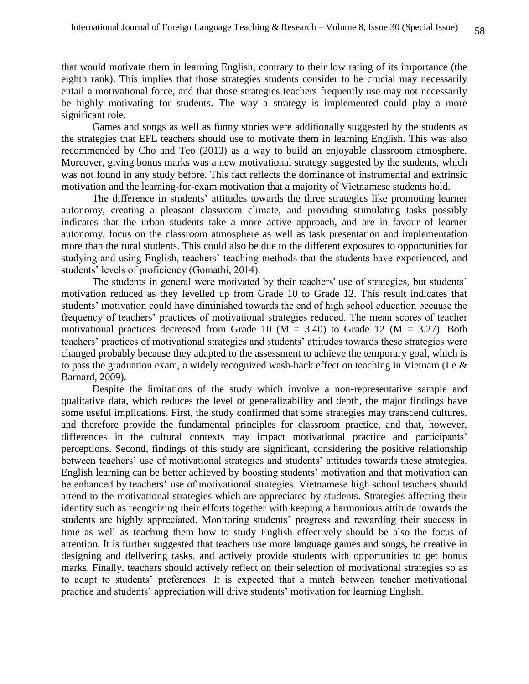that would motivate them in learning English, contrary to their low rating of its importance (the eighth rank). This implies that those strategies students consider to be crucial may necessarily entail a motivational force, and that those strategies teachers frequently use may not necessarily be highly motivating for students. The way a strategy is implemented could play a more significant role.

Games and songs as well as funny stories were additionally suggested by the students as the strategies that EFL teachers should use to motivate them in learning English. This was also recommended by Cho and Teo (2013) as a way to build an enjoyable classroom atmosphere. Moreover, giving bonus marks was a new motivational strategy suggested by the students, which was not found in any study before. This fact reflects the dominance of instrumental and extrinsic motivation and the learning-for-exam motivation that a majority of Vietnamese students hold.

The difference in students' attitudes towards the three strategies like promoting learner autonomy, creating a pleasant classroom climate, and providing stimulating tasks possibly indicates that the urban students take a more active approach, and are in favour of learner autonomy, focus on the classroom atmosphere as well as task presentation and implementation more than the rural students. This could also be due to the different exposures to opportunities for studying and using English, teachers' teaching methods that the students have experienced, and students' levels of proficiency (Gomathi, 2014).

The students in general were motivated by their teachers' use of strategies, but students' motivation reduced as they levelled up from Grade 10 to Grade 12. This result indicates that students' motivation could have diminished towards the end of high school education because the frequency of teachers' practices of motivational strategies reduced. The mean scores of teacher motivational practices decreased from Grade 10 ( $M = 3.40$ ) to Grade 12 ( $M = 3.27$ ). Both teachers' practices of motivational strategies and students' attitudes towards these strategies were changed probably because they adapted to the assessment to achieve the temporary goal, which is to pass the graduation exam, a widely recognized wash-back effect on teaching in Vietnam (Le & Barnard, 2009).

Despite the limitations of the study which involve a non-representative sample and qualitative data, which reduces the level of generalizability and depth, the major findings have some useful implications. First, the study confirmed that some strategies may transcend cultures, and therefore provide the fundamental principles for classroom practice, and that, however, differences in the cultural contexts may impact motivational practice and participants' perceptions. Second, findings of this study are significant, considering the positive relationship between teachers' use of motivational strategies and students' attitudes towards these strategies. English learning can be better achieved by boosting students' motivation and that motivation can be enhanced by teachers' use of motivational strategies. Vietnamese high school teachers should attend to the motivational strategies which are appreciated by students. Strategies affecting their identity such as recognizing their efforts together with keeping a harmonious attitude towards the students are highly appreciated. Monitoring students' progress and rewarding their success in time as well as teaching them how to study English effectively should be also the focus of attention. It is further suggested that teachers use more language games and songs, be creative in designing and delivering tasks, and actively provide students with opportunities to get bonus marks. Finally, teachers should actively reflect on their selection of motivational strategies so as to adapt to students' preferences. It is expected that a match between teacher motivational practice and students' appreciation will drive students' motivation for learning English.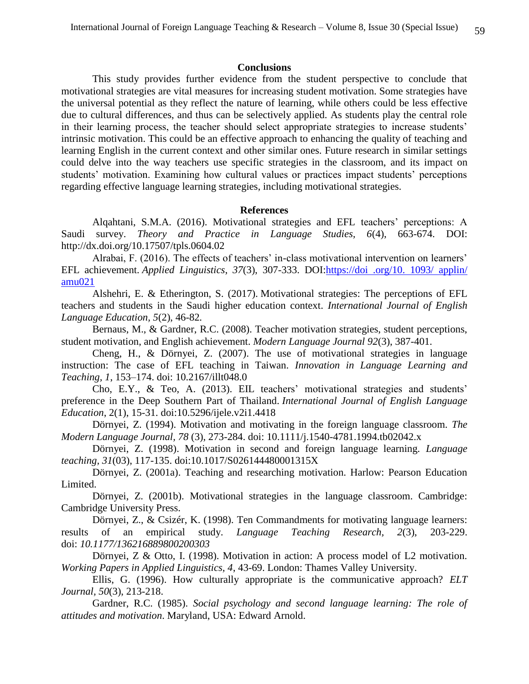#### **Conclusions**

This study provides further evidence from the student perspective to conclude that motivational strategies are vital measures for increasing student motivation. Some strategies have the universal potential as they reflect the nature of learning, while others could be less effective due to cultural differences, and thus can be selectively applied. As students play the central role in their learning process, the teacher should select appropriate strategies to increase students' intrinsic motivation. This could be an effective approach to enhancing the quality of teaching and learning English in the current context and other similar ones. Future research in similar settings could delve into the way teachers use specific strategies in the classroom, and its impact on students' motivation. Examining how cultural values or practices impact students' perceptions regarding effective language learning strategies, including motivational strategies.

#### **References**

Alqahtani, S.M.A. (2016). Motivational strategies and EFL teachers' perceptions: A Saudi survey. *Theory and Practice in Language Studies, 6*(4), 663-674. DOI: http://dx.doi.org/10.17507/tpls.0604.02

Alrabai, F. (2016). The effects of teachers' in-class motivational intervention on learners' EFL achievement. *Applied Linguistics*, *37*(3), 307-333. DOI:https://doi .org/10. 1093/ applin/ amu021

Alshehri, E. & Etherington, S. (2017). Motivational strategies: The perceptions of EFL teachers and students in the Saudi higher education context. *International Journal of English Language Education, 5*(2), 46-82*.*

Bernaus, M., & Gardner, R.C. (2008). Teacher motivation strategies, student perceptions, student motivation, and English achievement. *Modern Language Journal 92*(3), 387-401.

Cheng, H., & Dörnyei, Z. (2007). The use of motivational strategies in language instruction: The case of EFL teaching in Taiwan. *Innovation in Language Learning and Teaching, 1*, 153–174. doi: 10.2167/illt048.0

Cho, E.Y., & Teo, A. (2013). EIL teachers' motivational strategies and students' preference in the Deep Southern Part of Thailand. *International Journal of English Language Education*, 2(1), 15-31. doi:10.5296/ijele.v2i1.4418

Dörnyei, Z. (1994). Motivation and motivating in the foreign language classroom. *The Modern Language Journal, 78* (3), 273-284. doi: 10.1111/j.1540-4781.1994.tb02042.x

Dörnyei, Z. (1998). Motivation in second and foreign language learning. *Language teaching, 31*(03), 117-135. doi:10.1017/S026144480001315X

Dörnyei, Z. (2001a). Teaching and researching motivation. Harlow: Pearson Education Limited.

Dörnyei, Z. (2001b). Motivational strategies in the language classroom. Cambridge: Cambridge University Press.

Dörnyei, Z., & Csizér, K. (1998). Ten Commandments for motivating language learners: results of an empirical study. *Language Teaching Research, 2*(3), 203-229. doi: *10.1177/136216889800200303*

Dörnyei, Z & Otto, I. (1998). Motivation in action: A process model of L2 motivation. *Working Papers in Applied Linguistics, 4*, 43-69. London: Thames Valley University.

Ellis, G. (1996). How culturally appropriate is the communicative approach? *ELT Journal, 50*(3), 213-218.

Gardner, R.C. (1985). *Social psychology and second language learning: The role of attitudes and motivation*. Maryland, USA: Edward Arnold.